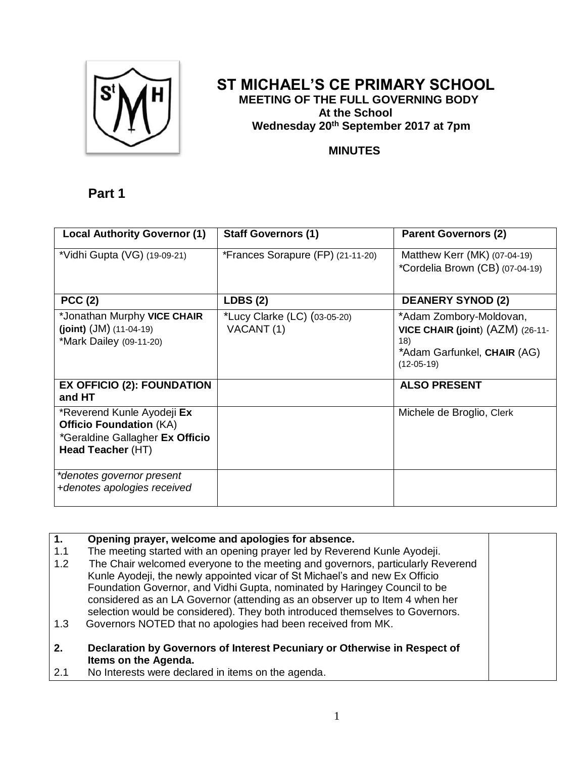

## **ST MICHAEL'S CE PRIMARY SCHOOL MEETING OF THE FULL GOVERNING BODY At the School Wednesday 20th September 2017 at 7pm**

## **MINUTES**

## **Part 1**

| <b>Local Authority Governor (1)</b>                                                                                  | <b>Staff Governors (1)</b>                 | <b>Parent Governors (2)</b>                                                                                       |
|----------------------------------------------------------------------------------------------------------------------|--------------------------------------------|-------------------------------------------------------------------------------------------------------------------|
| *Vidhi Gupta (VG) (19-09-21)                                                                                         | *Frances Sorapure (FP) (21-11-20)          | Matthew Kerr (MK) (07-04-19)<br>*Cordelia Brown (CB) (07-04-19)                                                   |
| <b>PCC (2)</b>                                                                                                       | LDBS(2)                                    | <b>DEANERY SYNOD (2)</b>                                                                                          |
| *Jonathan Murphy VICE CHAIR<br>(joint) $(JM)$ (11-04-19)<br>*Mark Dailey (09-11-20)                                  | *Lucy Clarke (LC) (03-05-20)<br>VACANT (1) | *Adam Zombory-Moldovan,<br>VICE CHAIR (joint) (AZM) (26-11-<br>18)<br>*Adam Garfunkel, CHAIR (AG)<br>$(12-05-19)$ |
| <b>EX OFFICIO (2): FOUNDATION</b><br>and HT                                                                          |                                            | <b>ALSO PRESENT</b>                                                                                               |
| *Reverend Kunle Ayodeji Ex<br><b>Officio Foundation (KA)</b><br>*Geraldine Gallagher Ex Officio<br>Head Teacher (HT) |                                            | Michele de Broglio, Clerk                                                                                         |
| *denotes governor present<br>+denotes apologies received                                                             |                                            |                                                                                                                   |

| $\overline{1}$ . | Opening prayer, welcome and apologies for absence.                              |  |
|------------------|---------------------------------------------------------------------------------|--|
| 1.1              | The meeting started with an opening prayer led by Reverend Kunle Ayodeji.       |  |
| 1.2              | The Chair welcomed everyone to the meeting and governors, particularly Reverend |  |
|                  | Kunle Ayodeji, the newly appointed vicar of St Michael's and new Ex Officio     |  |
|                  | Foundation Governor, and Vidhi Gupta, nominated by Haringey Council to be       |  |
|                  | considered as an LA Governor (attending as an observer up to Item 4 when her    |  |
|                  | selection would be considered). They both introduced themselves to Governors.   |  |
| 1.3              | Governors NOTED that no apologies had been received from MK.                    |  |
|                  |                                                                                 |  |
| 2.               | Declaration by Governors of Interest Pecuniary or Otherwise in Respect of       |  |
|                  | Items on the Agenda.                                                            |  |
| 2.1              | No Interests were declared in items on the agenda.                              |  |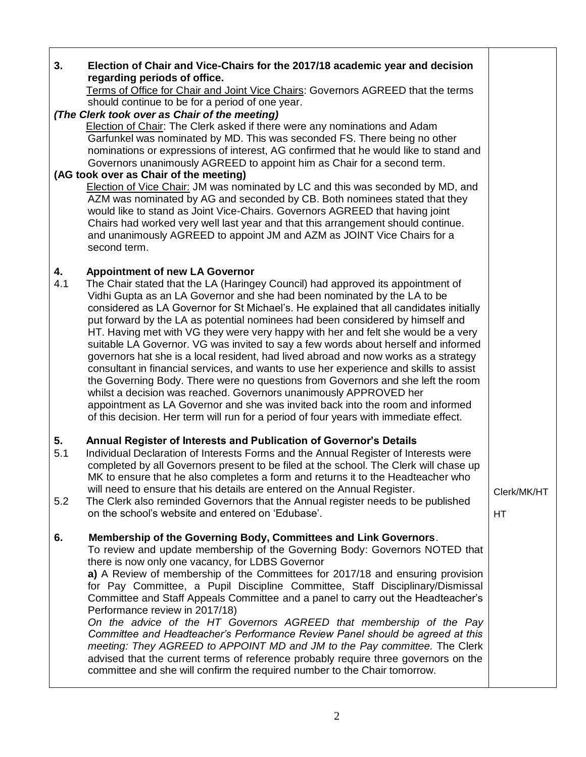| 3.        | Election of Chair and Vice-Chairs for the 2017/18 academic year and decision                                                                                                                                                                                                                                                                                                                                                                                                                                                                                                                                                                                                                                                                                                                                                                                                                                                                                                                                                                                                     |             |
|-----------|----------------------------------------------------------------------------------------------------------------------------------------------------------------------------------------------------------------------------------------------------------------------------------------------------------------------------------------------------------------------------------------------------------------------------------------------------------------------------------------------------------------------------------------------------------------------------------------------------------------------------------------------------------------------------------------------------------------------------------------------------------------------------------------------------------------------------------------------------------------------------------------------------------------------------------------------------------------------------------------------------------------------------------------------------------------------------------|-------------|
|           | regarding periods of office.                                                                                                                                                                                                                                                                                                                                                                                                                                                                                                                                                                                                                                                                                                                                                                                                                                                                                                                                                                                                                                                     |             |
|           | Terms of Office for Chair and Joint Vice Chairs: Governors AGREED that the terms<br>should continue to be for a period of one year.                                                                                                                                                                                                                                                                                                                                                                                                                                                                                                                                                                                                                                                                                                                                                                                                                                                                                                                                              |             |
|           | (The Clerk took over as Chair of the meeting)                                                                                                                                                                                                                                                                                                                                                                                                                                                                                                                                                                                                                                                                                                                                                                                                                                                                                                                                                                                                                                    |             |
|           | <b>Election of Chair: The Clerk asked if there were any nominations and Adam</b>                                                                                                                                                                                                                                                                                                                                                                                                                                                                                                                                                                                                                                                                                                                                                                                                                                                                                                                                                                                                 |             |
|           | Garfunkel was nominated by MD. This was seconded FS. There being no other                                                                                                                                                                                                                                                                                                                                                                                                                                                                                                                                                                                                                                                                                                                                                                                                                                                                                                                                                                                                        |             |
|           | nominations or expressions of interest, AG confirmed that he would like to stand and                                                                                                                                                                                                                                                                                                                                                                                                                                                                                                                                                                                                                                                                                                                                                                                                                                                                                                                                                                                             |             |
|           | Governors unanimously AGREED to appoint him as Chair for a second term.                                                                                                                                                                                                                                                                                                                                                                                                                                                                                                                                                                                                                                                                                                                                                                                                                                                                                                                                                                                                          |             |
|           | (AG took over as Chair of the meeting)                                                                                                                                                                                                                                                                                                                                                                                                                                                                                                                                                                                                                                                                                                                                                                                                                                                                                                                                                                                                                                           |             |
|           | Election of Vice Chair: JM was nominated by LC and this was seconded by MD, and<br>AZM was nominated by AG and seconded by CB. Both nominees stated that they<br>would like to stand as Joint Vice-Chairs. Governors AGREED that having joint<br>Chairs had worked very well last year and that this arrangement should continue.<br>and unanimously AGREED to appoint JM and AZM as JOINT Vice Chairs for a<br>second term.                                                                                                                                                                                                                                                                                                                                                                                                                                                                                                                                                                                                                                                     |             |
|           |                                                                                                                                                                                                                                                                                                                                                                                                                                                                                                                                                                                                                                                                                                                                                                                                                                                                                                                                                                                                                                                                                  |             |
| 4.<br>4.1 | <b>Appointment of new LA Governor</b><br>The Chair stated that the LA (Haringey Council) had approved its appointment of<br>Vidhi Gupta as an LA Governor and she had been nominated by the LA to be<br>considered as LA Governor for St Michael's. He explained that all candidates initially<br>put forward by the LA as potential nominees had been considered by himself and<br>HT. Having met with VG they were very happy with her and felt she would be a very<br>suitable LA Governor. VG was invited to say a few words about herself and informed<br>governors hat she is a local resident, had lived abroad and now works as a strategy<br>consultant in financial services, and wants to use her experience and skills to assist<br>the Governing Body. There were no questions from Governors and she left the room<br>whilst a decision was reached. Governors unanimously APPROVED her<br>appointment as LA Governor and she was invited back into the room and informed<br>of this decision. Her term will run for a period of four years with immediate effect. |             |
| 5.<br>5.1 | Annual Register of Interests and Publication of Governor's Details<br>Individual Declaration of Interests Forms and the Annual Register of Interests were<br>completed by all Governors present to be filed at the school. The Clerk will chase up<br>MK to ensure that he also completes a form and returns it to the Headteacher who<br>will need to ensure that his details are entered on the Annual Register.                                                                                                                                                                                                                                                                                                                                                                                                                                                                                                                                                                                                                                                               |             |
| 5.2       | The Clerk also reminded Governors that the Annual register needs to be published                                                                                                                                                                                                                                                                                                                                                                                                                                                                                                                                                                                                                                                                                                                                                                                                                                                                                                                                                                                                 | Clerk/MK/HT |
|           | on the school's website and entered on 'Edubase'.                                                                                                                                                                                                                                                                                                                                                                                                                                                                                                                                                                                                                                                                                                                                                                                                                                                                                                                                                                                                                                | HT          |
|           |                                                                                                                                                                                                                                                                                                                                                                                                                                                                                                                                                                                                                                                                                                                                                                                                                                                                                                                                                                                                                                                                                  |             |
| 6.        | Membership of the Governing Body, Committees and Link Governors.<br>To review and update membership of the Governing Body: Governors NOTED that<br>there is now only one vacancy, for LDBS Governor<br>a) A Review of membership of the Committees for 2017/18 and ensuring provision<br>for Pay Committee, a Pupil Discipline Committee, Staff Disciplinary/Dismissal<br>Committee and Staff Appeals Committee and a panel to carry out the Headteacher's<br>Performance review in 2017/18)<br>On the advice of the HT Governors AGREED that membership of the Pay<br>Committee and Headteacher's Performance Review Panel should be agreed at this<br>meeting: They AGREED to APPOINT MD and JM to the Pay committee. The Clerk<br>advised that the current terms of reference probably require three governors on the<br>committee and she will confirm the required number to the Chair tomorrow.                                                                                                                                                                            |             |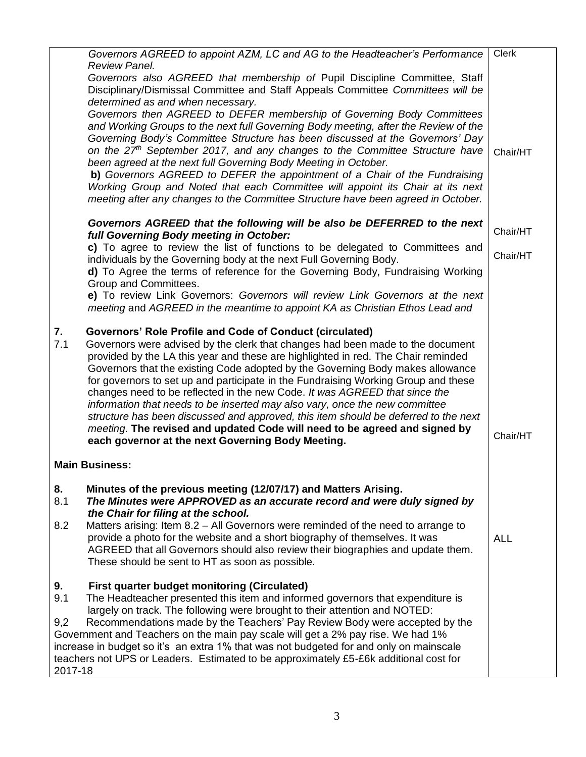|           | Governors AGREED to appoint AZM, LC and AG to the Headteacher's Performance<br>Review Panel.                                                                                                                                                                                                                                                                                                                                                                                                           | <b>Clerk</b> |
|-----------|--------------------------------------------------------------------------------------------------------------------------------------------------------------------------------------------------------------------------------------------------------------------------------------------------------------------------------------------------------------------------------------------------------------------------------------------------------------------------------------------------------|--------------|
|           | Governors also AGREED that membership of Pupil Discipline Committee, Staff<br>Disciplinary/Dismissal Committee and Staff Appeals Committee Committees will be<br>determined as and when necessary.                                                                                                                                                                                                                                                                                                     |              |
|           | Governors then AGREED to DEFER membership of Governing Body Committees<br>and Working Groups to the next full Governing Body meeting, after the Review of the<br>Governing Body's Committee Structure has been discussed at the Governors' Day                                                                                                                                                                                                                                                         |              |
|           | on the 27 <sup>th</sup> September 2017, and any changes to the Committee Structure have<br>been agreed at the next full Governing Body Meeting in October.<br>b) Governors AGREED to DEFER the appointment of a Chair of the Fundraising                                                                                                                                                                                                                                                               | Chair/HT     |
|           | Working Group and Noted that each Committee will appoint its Chair at its next<br>meeting after any changes to the Committee Structure have been agreed in October.                                                                                                                                                                                                                                                                                                                                    |              |
|           | Governors AGREED that the following will be also be DEFERRED to the next<br>full Governing Body meeting in October:                                                                                                                                                                                                                                                                                                                                                                                    | Chair/HT     |
|           | c) To agree to review the list of functions to be delegated to Committees and<br>individuals by the Governing body at the next Full Governing Body.<br>d) To Agree the terms of reference for the Governing Body, Fundraising Working                                                                                                                                                                                                                                                                  | Chair/HT     |
|           | Group and Committees.<br>e) To review Link Governors: Governors will review Link Governors at the next<br>meeting and AGREED in the meantime to appoint KA as Christian Ethos Lead and                                                                                                                                                                                                                                                                                                                 |              |
| 7.<br>7.1 | <b>Governors' Role Profile and Code of Conduct (circulated)</b><br>Governors were advised by the clerk that changes had been made to the document<br>provided by the LA this year and these are highlighted in red. The Chair reminded                                                                                                                                                                                                                                                                 |              |
|           | Governors that the existing Code adopted by the Governing Body makes allowance<br>for governors to set up and participate in the Fundraising Working Group and these<br>changes need to be reflected in the new Code. It was AGREED that since the<br>information that needs to be inserted may also vary, once the new committee<br>structure has been discussed and approved, this item should be deferred to the next<br>meeting. The revised and updated Code will need to be agreed and signed by |              |
|           | each governor at the next Governing Body Meeting.                                                                                                                                                                                                                                                                                                                                                                                                                                                      | Chair/HT     |
|           | <b>Main Business:</b>                                                                                                                                                                                                                                                                                                                                                                                                                                                                                  |              |
| 8.<br>8.1 | Minutes of the previous meeting (12/07/17) and Matters Arising.<br>The Minutes were APPROVED as an accurate record and were duly signed by<br>the Chair for filing at the school.                                                                                                                                                                                                                                                                                                                      |              |
| 8.2       | Matters arising: Item 8.2 - All Governors were reminded of the need to arrange to<br>provide a photo for the website and a short biography of themselves. It was<br>AGREED that all Governors should also review their biographies and update them.<br>These should be sent to HT as soon as possible.                                                                                                                                                                                                 | <b>ALL</b>   |
| 9.<br>9.1 | <b>First quarter budget monitoring (Circulated)</b><br>The Headteacher presented this item and informed governors that expenditure is<br>largely on track. The following were brought to their attention and NOTED:                                                                                                                                                                                                                                                                                    |              |
| 9,2       | Recommendations made by the Teachers' Pay Review Body were accepted by the                                                                                                                                                                                                                                                                                                                                                                                                                             |              |
|           | Government and Teachers on the main pay scale will get a 2% pay rise. We had 1%<br>increase in budget so it's an extra 1% that was not budgeted for and only on mainscale                                                                                                                                                                                                                                                                                                                              |              |
| 2017-18   | teachers not UPS or Leaders. Estimated to be approximately £5-£6k additional cost for                                                                                                                                                                                                                                                                                                                                                                                                                  |              |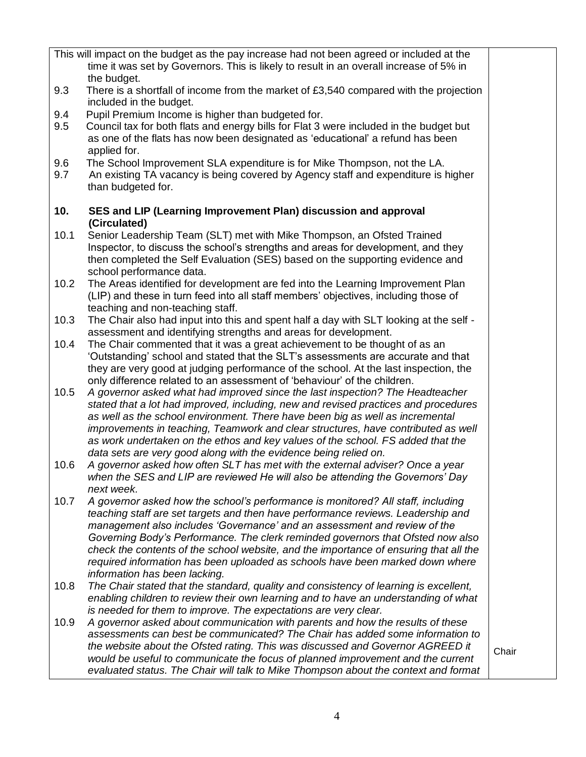|            | This will impact on the budget as the pay increase had not been agreed or included at the<br>time it was set by Governors. This is likely to result in an overall increase of 5% in<br>the budget.                                          |       |
|------------|---------------------------------------------------------------------------------------------------------------------------------------------------------------------------------------------------------------------------------------------|-------|
| 9.3        | There is a shortfall of income from the market of £3,540 compared with the projection<br>included in the budget.                                                                                                                            |       |
| 9.4        | Pupil Premium Income is higher than budgeted for.                                                                                                                                                                                           |       |
| 9.5        | Council tax for both flats and energy bills for Flat 3 were included in the budget but<br>as one of the flats has now been designated as 'educational' a refund has been<br>applied for.                                                    |       |
| 9.6<br>9.7 | The School Improvement SLA expenditure is for Mike Thompson, not the LA.<br>An existing TA vacancy is being covered by Agency staff and expenditure is higher<br>than budgeted for.                                                         |       |
|            |                                                                                                                                                                                                                                             |       |
| 10.        | SES and LIP (Learning Improvement Plan) discussion and approval<br>(Circulated)                                                                                                                                                             |       |
| 10.1       | Senior Leadership Team (SLT) met with Mike Thompson, an Ofsted Trained<br>Inspector, to discuss the school's strengths and areas for development, and they<br>then completed the Self Evaluation (SES) based on the supporting evidence and |       |
|            | school performance data.                                                                                                                                                                                                                    |       |
| 10.2       | The Areas identified for development are fed into the Learning Improvement Plan<br>(LIP) and these in turn feed into all staff members' objectives, including those of<br>teaching and non-teaching staff.                                  |       |
| 10.3       | The Chair also had input into this and spent half a day with SLT looking at the self -                                                                                                                                                      |       |
|            | assessment and identifying strengths and areas for development.                                                                                                                                                                             |       |
| 10.4       | The Chair commented that it was a great achievement to be thought of as an                                                                                                                                                                  |       |
|            | 'Outstanding' school and stated that the SLT's assessments are accurate and that                                                                                                                                                            |       |
|            | they are very good at judging performance of the school. At the last inspection, the<br>only difference related to an assessment of 'behaviour' of the children.                                                                            |       |
| 10.5       | A governor asked what had improved since the last inspection? The Headteacher                                                                                                                                                               |       |
|            | stated that a lot had improved, including, new and revised practices and procedures                                                                                                                                                         |       |
|            | as well as the school environment. There have been big as well as incremental                                                                                                                                                               |       |
|            | improvements in teaching, Teamwork and clear structures, have contributed as well                                                                                                                                                           |       |
|            | as work undertaken on the ethos and key values of the school. FS added that the                                                                                                                                                             |       |
|            | data sets are very good along with the evidence being relied on.                                                                                                                                                                            |       |
| 10.6       | A governor asked how often SLT has met with the external adviser? Once a year                                                                                                                                                               |       |
|            | when the SES and LIP are reviewed He will also be attending the Governors' Day                                                                                                                                                              |       |
|            | next week.                                                                                                                                                                                                                                  |       |
| 10.7       | A governor asked how the school's performance is monitored? All staff, including<br>teaching staff are set targets and then have performance reviews. Leadership and                                                                        |       |
|            | management also includes 'Governance' and an assessment and review of the                                                                                                                                                                   |       |
|            | Governing Body's Performance. The clerk reminded governors that Ofsted now also                                                                                                                                                             |       |
|            | check the contents of the school website, and the importance of ensuring that all the                                                                                                                                                       |       |
|            | required information has been uploaded as schools have been marked down where                                                                                                                                                               |       |
|            | information has been lacking.                                                                                                                                                                                                               |       |
| 10.8       | The Chair stated that the standard, quality and consistency of learning is excellent,                                                                                                                                                       |       |
|            | enabling children to review their own learning and to have an understanding of what                                                                                                                                                         |       |
|            | is needed for them to improve. The expectations are very clear.                                                                                                                                                                             |       |
| 10.9       | A governor asked about communication with parents and how the results of these                                                                                                                                                              |       |
|            | assessments can best be communicated? The Chair has added some information to                                                                                                                                                               |       |
|            | the website about the Ofsted rating. This was discussed and Governor AGREED it<br>would be useful to communicate the focus of planned improvement and the current                                                                           | Chair |
|            | evaluated status. The Chair will talk to Mike Thompson about the context and format                                                                                                                                                         |       |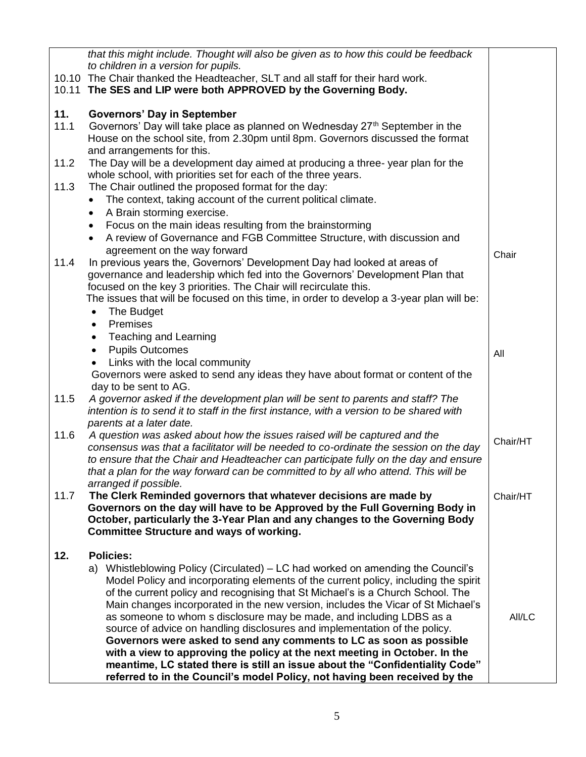| to children in a version for pupils.<br>10.10 The Chair thanked the Headteacher, SLT and all staff for their hard work.<br>10.11 The SES and LIP were both APPROVED by the Governing Body.<br>11.<br><b>Governors' Day in September</b><br>11.1<br>Governors' Day will take place as planned on Wednesday 27 <sup>th</sup> September in the<br>House on the school site, from 2.30pm until 8pm. Governors discussed the format<br>and arrangements for this.<br>The Day will be a development day aimed at producing a three-year plan for the<br>11.2<br>whole school, with priorities set for each of the three years.<br>11.3<br>The Chair outlined the proposed format for the day:<br>The context, taking account of the current political climate.<br>$\bullet$<br>A Brain storming exercise.<br>$\bullet$<br>Focus on the main ideas resulting from the brainstorming<br>$\bullet$<br>A review of Governance and FGB Committee Structure, with discussion and<br>$\bullet$<br>agreement on the way forward<br>Chair<br>In previous years the, Governors' Development Day had looked at areas of<br>11.4 |
|----------------------------------------------------------------------------------------------------------------------------------------------------------------------------------------------------------------------------------------------------------------------------------------------------------------------------------------------------------------------------------------------------------------------------------------------------------------------------------------------------------------------------------------------------------------------------------------------------------------------------------------------------------------------------------------------------------------------------------------------------------------------------------------------------------------------------------------------------------------------------------------------------------------------------------------------------------------------------------------------------------------------------------------------------------------------------------------------------------------|
|                                                                                                                                                                                                                                                                                                                                                                                                                                                                                                                                                                                                                                                                                                                                                                                                                                                                                                                                                                                                                                                                                                                |
|                                                                                                                                                                                                                                                                                                                                                                                                                                                                                                                                                                                                                                                                                                                                                                                                                                                                                                                                                                                                                                                                                                                |
|                                                                                                                                                                                                                                                                                                                                                                                                                                                                                                                                                                                                                                                                                                                                                                                                                                                                                                                                                                                                                                                                                                                |
|                                                                                                                                                                                                                                                                                                                                                                                                                                                                                                                                                                                                                                                                                                                                                                                                                                                                                                                                                                                                                                                                                                                |
|                                                                                                                                                                                                                                                                                                                                                                                                                                                                                                                                                                                                                                                                                                                                                                                                                                                                                                                                                                                                                                                                                                                |
|                                                                                                                                                                                                                                                                                                                                                                                                                                                                                                                                                                                                                                                                                                                                                                                                                                                                                                                                                                                                                                                                                                                |
|                                                                                                                                                                                                                                                                                                                                                                                                                                                                                                                                                                                                                                                                                                                                                                                                                                                                                                                                                                                                                                                                                                                |
|                                                                                                                                                                                                                                                                                                                                                                                                                                                                                                                                                                                                                                                                                                                                                                                                                                                                                                                                                                                                                                                                                                                |
|                                                                                                                                                                                                                                                                                                                                                                                                                                                                                                                                                                                                                                                                                                                                                                                                                                                                                                                                                                                                                                                                                                                |
|                                                                                                                                                                                                                                                                                                                                                                                                                                                                                                                                                                                                                                                                                                                                                                                                                                                                                                                                                                                                                                                                                                                |
|                                                                                                                                                                                                                                                                                                                                                                                                                                                                                                                                                                                                                                                                                                                                                                                                                                                                                                                                                                                                                                                                                                                |
|                                                                                                                                                                                                                                                                                                                                                                                                                                                                                                                                                                                                                                                                                                                                                                                                                                                                                                                                                                                                                                                                                                                |
|                                                                                                                                                                                                                                                                                                                                                                                                                                                                                                                                                                                                                                                                                                                                                                                                                                                                                                                                                                                                                                                                                                                |
|                                                                                                                                                                                                                                                                                                                                                                                                                                                                                                                                                                                                                                                                                                                                                                                                                                                                                                                                                                                                                                                                                                                |
|                                                                                                                                                                                                                                                                                                                                                                                                                                                                                                                                                                                                                                                                                                                                                                                                                                                                                                                                                                                                                                                                                                                |
|                                                                                                                                                                                                                                                                                                                                                                                                                                                                                                                                                                                                                                                                                                                                                                                                                                                                                                                                                                                                                                                                                                                |
| governance and leadership which fed into the Governors' Development Plan that                                                                                                                                                                                                                                                                                                                                                                                                                                                                                                                                                                                                                                                                                                                                                                                                                                                                                                                                                                                                                                  |
| focused on the key 3 priorities. The Chair will recirculate this.                                                                                                                                                                                                                                                                                                                                                                                                                                                                                                                                                                                                                                                                                                                                                                                                                                                                                                                                                                                                                                              |
| The issues that will be focused on this time, in order to develop a 3-year plan will be:                                                                                                                                                                                                                                                                                                                                                                                                                                                                                                                                                                                                                                                                                                                                                                                                                                                                                                                                                                                                                       |
| The Budget<br>$\bullet$                                                                                                                                                                                                                                                                                                                                                                                                                                                                                                                                                                                                                                                                                                                                                                                                                                                                                                                                                                                                                                                                                        |
| Premises<br>$\bullet$                                                                                                                                                                                                                                                                                                                                                                                                                                                                                                                                                                                                                                                                                                                                                                                                                                                                                                                                                                                                                                                                                          |
| <b>Teaching and Learning</b><br>$\bullet$<br><b>Pupils Outcomes</b><br>$\bullet$                                                                                                                                                                                                                                                                                                                                                                                                                                                                                                                                                                                                                                                                                                                                                                                                                                                                                                                                                                                                                               |
| All<br>Links with the local community                                                                                                                                                                                                                                                                                                                                                                                                                                                                                                                                                                                                                                                                                                                                                                                                                                                                                                                                                                                                                                                                          |
| Governors were asked to send any ideas they have about format or content of the                                                                                                                                                                                                                                                                                                                                                                                                                                                                                                                                                                                                                                                                                                                                                                                                                                                                                                                                                                                                                                |
| day to be sent to AG.                                                                                                                                                                                                                                                                                                                                                                                                                                                                                                                                                                                                                                                                                                                                                                                                                                                                                                                                                                                                                                                                                          |
| A governor asked if the development plan will be sent to parents and staff? The<br>11.5                                                                                                                                                                                                                                                                                                                                                                                                                                                                                                                                                                                                                                                                                                                                                                                                                                                                                                                                                                                                                        |
| intention is to send it to staff in the first instance, with a version to be shared with                                                                                                                                                                                                                                                                                                                                                                                                                                                                                                                                                                                                                                                                                                                                                                                                                                                                                                                                                                                                                       |
| parents at a later date.                                                                                                                                                                                                                                                                                                                                                                                                                                                                                                                                                                                                                                                                                                                                                                                                                                                                                                                                                                                                                                                                                       |
| 11.6<br>A question was asked about how the issues raised will be captured and the<br>Chair/HT                                                                                                                                                                                                                                                                                                                                                                                                                                                                                                                                                                                                                                                                                                                                                                                                                                                                                                                                                                                                                  |
| consensus was that a facilitator will be needed to co-ordinate the session on the day                                                                                                                                                                                                                                                                                                                                                                                                                                                                                                                                                                                                                                                                                                                                                                                                                                                                                                                                                                                                                          |
| to ensure that the Chair and Headteacher can participate fully on the day and ensure                                                                                                                                                                                                                                                                                                                                                                                                                                                                                                                                                                                                                                                                                                                                                                                                                                                                                                                                                                                                                           |
| that a plan for the way forward can be committed to by all who attend. This will be                                                                                                                                                                                                                                                                                                                                                                                                                                                                                                                                                                                                                                                                                                                                                                                                                                                                                                                                                                                                                            |
| arranged if possible.<br>11.7<br>The Clerk Reminded governors that whatever decisions are made by<br>Chair/HT                                                                                                                                                                                                                                                                                                                                                                                                                                                                                                                                                                                                                                                                                                                                                                                                                                                                                                                                                                                                  |
| Governors on the day will have to be Approved by the Full Governing Body in                                                                                                                                                                                                                                                                                                                                                                                                                                                                                                                                                                                                                                                                                                                                                                                                                                                                                                                                                                                                                                    |
| October, particularly the 3-Year Plan and any changes to the Governing Body                                                                                                                                                                                                                                                                                                                                                                                                                                                                                                                                                                                                                                                                                                                                                                                                                                                                                                                                                                                                                                    |
| <b>Committee Structure and ways of working.</b>                                                                                                                                                                                                                                                                                                                                                                                                                                                                                                                                                                                                                                                                                                                                                                                                                                                                                                                                                                                                                                                                |
|                                                                                                                                                                                                                                                                                                                                                                                                                                                                                                                                                                                                                                                                                                                                                                                                                                                                                                                                                                                                                                                                                                                |
| <b>Policies:</b><br>12.                                                                                                                                                                                                                                                                                                                                                                                                                                                                                                                                                                                                                                                                                                                                                                                                                                                                                                                                                                                                                                                                                        |
| a) Whistleblowing Policy (Circulated) – LC had worked on amending the Council's                                                                                                                                                                                                                                                                                                                                                                                                                                                                                                                                                                                                                                                                                                                                                                                                                                                                                                                                                                                                                                |
| Model Policy and incorporating elements of the current policy, including the spirit                                                                                                                                                                                                                                                                                                                                                                                                                                                                                                                                                                                                                                                                                                                                                                                                                                                                                                                                                                                                                            |
| of the current policy and recognising that St Michael's is a Church School. The                                                                                                                                                                                                                                                                                                                                                                                                                                                                                                                                                                                                                                                                                                                                                                                                                                                                                                                                                                                                                                |
| Main changes incorporated in the new version, includes the Vicar of St Michael's                                                                                                                                                                                                                                                                                                                                                                                                                                                                                                                                                                                                                                                                                                                                                                                                                                                                                                                                                                                                                               |
| as someone to whom s disclosure may be made, and including LDBS as a<br>All/LC<br>source of advice on handling disclosures and implementation of the policy.                                                                                                                                                                                                                                                                                                                                                                                                                                                                                                                                                                                                                                                                                                                                                                                                                                                                                                                                                   |
| Governors were asked to send any comments to LC as soon as possible                                                                                                                                                                                                                                                                                                                                                                                                                                                                                                                                                                                                                                                                                                                                                                                                                                                                                                                                                                                                                                            |
| with a view to approving the policy at the next meeting in October. In the                                                                                                                                                                                                                                                                                                                                                                                                                                                                                                                                                                                                                                                                                                                                                                                                                                                                                                                                                                                                                                     |
| meantime, LC stated there is still an issue about the "Confidentiality Code"                                                                                                                                                                                                                                                                                                                                                                                                                                                                                                                                                                                                                                                                                                                                                                                                                                                                                                                                                                                                                                   |
| referred to in the Council's model Policy, not having been received by the                                                                                                                                                                                                                                                                                                                                                                                                                                                                                                                                                                                                                                                                                                                                                                                                                                                                                                                                                                                                                                     |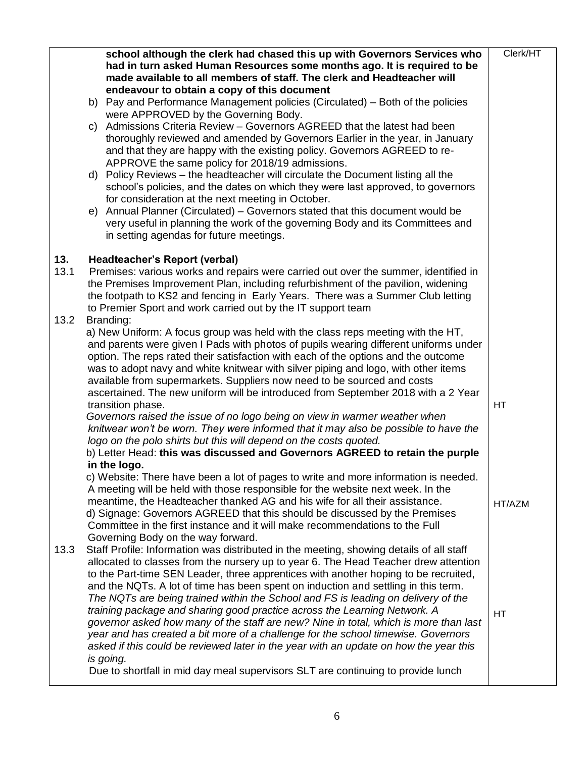|             | C) | school although the clerk had chased this up with Governors Services who<br>had in turn asked Human Resources some months ago. It is required to be<br>made available to all members of staff. The clerk and Headteacher will<br>endeavour to obtain a copy of this document<br>b) Pay and Performance Management policies (Circulated) – Both of the policies<br>were APPROVED by the Governing Body.<br>Admissions Criteria Review - Governors AGREED that the latest had been<br>thoroughly reviewed and amended by Governors Earlier in the year, in January<br>and that they are happy with the existing policy. Governors AGREED to re-<br>APPROVE the same policy for 2018/19 admissions.<br>d) Policy Reviews - the headteacher will circulate the Document listing all the<br>school's policies, and the dates on which they were last approved, to governors<br>for consideration at the next meeting in October.<br>e) Annual Planner (Circulated) - Governors stated that this document would be<br>very useful in planning the work of the governing Body and its Committees and<br>in setting agendas for future meetings. | Clerk/HT |
|-------------|----|------------------------------------------------------------------------------------------------------------------------------------------------------------------------------------------------------------------------------------------------------------------------------------------------------------------------------------------------------------------------------------------------------------------------------------------------------------------------------------------------------------------------------------------------------------------------------------------------------------------------------------------------------------------------------------------------------------------------------------------------------------------------------------------------------------------------------------------------------------------------------------------------------------------------------------------------------------------------------------------------------------------------------------------------------------------------------------------------------------------------------------------|----------|
| 13.<br>13.1 |    | Headteacher's Report (verbal)<br>Premises: various works and repairs were carried out over the summer, identified in<br>the Premises Improvement Plan, including refurbishment of the pavilion, widening<br>the footpath to KS2 and fencing in Early Years. There was a Summer Club letting<br>to Premier Sport and work carried out by the IT support team                                                                                                                                                                                                                                                                                                                                                                                                                                                                                                                                                                                                                                                                                                                                                                              |          |
| 13.2        |    | Branding:<br>a) New Uniform: A focus group was held with the class reps meeting with the HT,<br>and parents were given I Pads with photos of pupils wearing different uniforms under<br>option. The reps rated their satisfaction with each of the options and the outcome<br>was to adopt navy and white knitwear with silver piping and logo, with other items<br>available from supermarkets. Suppliers now need to be sourced and costs<br>ascertained. The new uniform will be introduced from September 2018 with a 2 Year<br>transition phase.<br>Governors raised the issue of no logo being on view in warmer weather when<br>knitwear won't be worn. They were informed that it may also be possible to have the<br>logo on the polo shirts but this will depend on the costs quoted.<br>b) Letter Head: this was discussed and Governors AGREED to retain the purple<br>in the logo.<br>c) Website: There have been a lot of pages to write and more information is needed.                                                                                                                                                   | HT       |
|             |    | A meeting will be held with those responsible for the website next week. In the<br>meantime, the Headteacher thanked AG and his wife for all their assistance.<br>d) Signage: Governors AGREED that this should be discussed by the Premises<br>Committee in the first instance and it will make recommendations to the Full<br>Governing Body on the way forward.                                                                                                                                                                                                                                                                                                                                                                                                                                                                                                                                                                                                                                                                                                                                                                       | HT/AZM   |
| 13.3        |    | Staff Profile: Information was distributed in the meeting, showing details of all staff<br>allocated to classes from the nursery up to year 6. The Head Teacher drew attention<br>to the Part-time SEN Leader, three apprentices with another hoping to be recruited,<br>and the NQTs. A lot of time has been spent on induction and settling in this term.<br>The NQTs are being trained within the School and FS is leading on delivery of the<br>training package and sharing good practice across the Learning Network. A<br>governor asked how many of the staff are new? Nine in total, which is more than last<br>year and has created a bit more of a challenge for the school timewise. Governors<br>asked if this could be reviewed later in the year with an update on how the year this<br>is going.<br>Due to shortfall in mid day meal supervisors SLT are continuing to provide lunch                                                                                                                                                                                                                                     | HT       |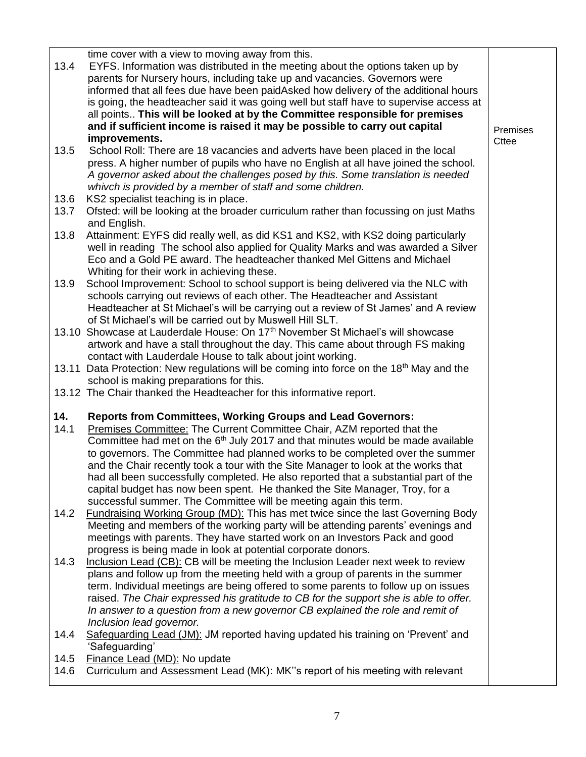| 13.4         | time cover with a view to moving away from this.<br>EYFS. Information was distributed in the meeting about the options taken up by<br>parents for Nursery hours, including take up and vacancies. Governors were                                                                                                      |          |
|--------------|-----------------------------------------------------------------------------------------------------------------------------------------------------------------------------------------------------------------------------------------------------------------------------------------------------------------------|----------|
|              | informed that all fees due have been paidAsked how delivery of the additional hours<br>is going, the headteacher said it was going well but staff have to supervise access at                                                                                                                                         |          |
|              | all points This will be looked at by the Committee responsible for premises<br>and if sufficient income is raised it may be possible to carry out capital                                                                                                                                                             | Premises |
|              | improvements.                                                                                                                                                                                                                                                                                                         | Cttee    |
| 13.5         | School Roll: There are 18 vacancies and adverts have been placed in the local<br>press. A higher number of pupils who have no English at all have joined the school.<br>A governor asked about the challenges posed by this. Some translation is needed<br>whivch is provided by a member of staff and some children. |          |
| 13.6<br>13.7 | KS2 specialist teaching is in place.<br>Ofsted: will be looking at the broader curriculum rather than focussing on just Maths                                                                                                                                                                                         |          |
|              | and English.                                                                                                                                                                                                                                                                                                          |          |
| 13.8         | Attainment: EYFS did really well, as did KS1 and KS2, with KS2 doing particularly<br>well in reading The school also applied for Quality Marks and was awarded a Silver<br>Eco and a Gold PE award. The headteacher thanked Mel Gittens and Michael<br>Whiting for their work in achieving these.                     |          |
| 13.9         | School Improvement: School to school support is being delivered via the NLC with<br>schools carrying out reviews of each other. The Headteacher and Assistant<br>Headteacher at St Michael's will be carrying out a review of St James' and A review                                                                  |          |
|              | of St Michael's will be carried out by Muswell Hill SLT.                                                                                                                                                                                                                                                              |          |
|              | 13.10 Showcase at Lauderdale House: On 17 <sup>th</sup> November St Michael's will showcase                                                                                                                                                                                                                           |          |
|              | artwork and have a stall throughout the day. This came about through FS making<br>contact with Lauderdale House to talk about joint working.                                                                                                                                                                          |          |
|              | 13.11 Data Protection: New regulations will be coming into force on the 18 <sup>th</sup> May and the                                                                                                                                                                                                                  |          |
|              | school is making preparations for this.<br>13.12 The Chair thanked the Headteacher for this informative report.                                                                                                                                                                                                       |          |
|              |                                                                                                                                                                                                                                                                                                                       |          |
| 14.<br>14.1  | <b>Reports from Committees, Working Groups and Lead Governors:</b><br>Premises Committee: The Current Committee Chair, AZM reported that the                                                                                                                                                                          |          |
|              | Committee had met on the 6 <sup>th</sup> July 2017 and that minutes would be made available                                                                                                                                                                                                                           |          |
|              | to governors. The Committee had planned works to be completed over the summer                                                                                                                                                                                                                                         |          |
|              | and the Chair recently took a tour with the Site Manager to look at the works that<br>had all been successfully completed. He also reported that a substantial part of the                                                                                                                                            |          |
|              | capital budget has now been spent. He thanked the Site Manager, Troy, for a                                                                                                                                                                                                                                           |          |
|              | successful summer. The Committee will be meeting again this term.                                                                                                                                                                                                                                                     |          |
| 14.2         | <b>Fundraising Working Group (MD): This has met twice since the last Governing Body</b><br>Meeting and members of the working party will be attending parents' evenings and                                                                                                                                           |          |
|              | meetings with parents. They have started work on an Investors Pack and good                                                                                                                                                                                                                                           |          |
|              | progress is being made in look at potential corporate donors.                                                                                                                                                                                                                                                         |          |
| 14.3         | Inclusion Lead (CB): CB will be meeting the Inclusion Leader next week to review                                                                                                                                                                                                                                      |          |
|              | plans and follow up from the meeting held with a group of parents in the summer<br>term. Individual meetings are being offered to some parents to follow up on issues                                                                                                                                                 |          |
|              | raised. The Chair expressed his gratitude to CB for the support she is able to offer.                                                                                                                                                                                                                                 |          |
|              | In answer to a question from a new governor CB explained the role and remit of                                                                                                                                                                                                                                        |          |
|              | Inclusion lead governor.<br>Safeguarding Lead (JM): JM reported having updated his training on 'Prevent' and                                                                                                                                                                                                          |          |
| 14.4         | 'Safeguarding'                                                                                                                                                                                                                                                                                                        |          |
| 14.5         | Finance Lead (MD): No update                                                                                                                                                                                                                                                                                          |          |
| 14.6         | Curriculum and Assessment Lead (MK): MK"s report of his meeting with relevant                                                                                                                                                                                                                                         |          |